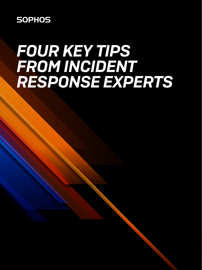**SOPHOS** 

# *FOUR KEY TIPS FROM INCIDENT RESPONSE EXPERTS*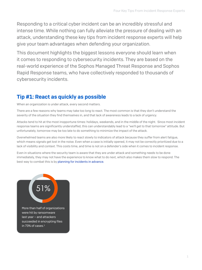Responding to a critical cyber incident can be an incredibly stressful and intense time. While nothing can fully alleviate the pressure of dealing with an attack, understanding these key tips from incident response experts will help give your team advantages when defending your organization.

This document highlights the biggest lessons everyone should learn when it comes to responding to cybersecurity incidents. They are based on the real-world experience of the Sophos Managed Threat Response and Sophos Rapid Response teams, who have collectively responded to thousands of cybersecurity incidents.

# Tip #1: React as quickly as possible

When an organization is under attack, every second matters.

There are a few reasons why teams may take too long to react. The most common is that they don't understand the severity of the situation they find themselves in, and that lack of awareness leads to a lack of urgency.

Attacks tend to hit at the most inopportune times: holidays, weekends, and in the middle of the night. Since most incident response teams are significantly understaffed, this can understandably lead to a "we'll get to that tomorrow" attitude. But unfortunately, tomorrow may be too late to do something to minimize the impact of the attack.

Overwhelmed teams are also more likely to react slowly to indicators of attack because they suffer from alert fatigue, which means signals get lost in the noise. Even when a case is initially opened, it may not be correctly prioritized due to a lack of visibility and context. This costs time, and time is not on a defender's side when it comes to incident response.

Even in situations where the security team is aware that they are under attack and something needs to be done immediately, they may not have the experience to know what to do next, which also makes them slow to respond. The best way to combat this is by [planning for incidents in advance.](https://secure2.sophos.com/en-us/security-news-trends/Whitepapers/gated-wp/incident-response-guide.aspx)

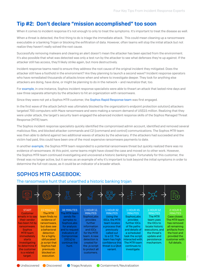## Tip #2: Don't declare "mission accomplished" too soon

When it comes to incident response it's not enough to only to treat the symptoms. It's important to treat the disease as well.

When a threat is detected, the first thing to do is triage the immediate attack. This could mean cleaning up a ransomware executable or a banking Trojan or blocking the exfiltration of data. However, often teams will stop the initial attack but not realize they haven't really solved the root cause.

Successfully removing malware and clearing an alert doesn't mean the attacker has been ejected from the environment. It's also possible that what was detected was only a test run by the attacker to see what defenses they're up against. If the attacker still has access, they'll likely strike again, but more destructively.

Incident response teams need to ensure they address the root cause of the original incident they mitigated. Does the attacker still have a foothold in the environment? Are they planning to launch a second wave? Incident response operators who have remediated thousands of attacks know when and where to investigate deeper. They look for anything else attackers are doing, have done, or might be planning to do in the network – and neutralize that, too.

For [example,](https://news.sophos.com/en-us/2020/09/22/mtr-casebook-blocking-a-15-million-maze-ransomware-attack/) in one instance, Sophos incident response specialists were able to thwart an attack that lasted nine days and saw three separate attempts by the attackers to hit an organization with ransomware.

Since they were not yet a Sophos MTR customer, the [Sophos Rapid Response team](https://www.sophos.com/en-us/products/managed-threat-response/rapid-response.aspx) was first engaged.

In the first wave of the attack (which was ultimately blocked by the organization's endpoint protection solution) attackers targeted 700 computers with Maze ransomware and were making a ransom demand of US\$15 million. Realizing that they were under attack, the target's security team engaged the advanced incident response skills of the Sophos Managed Threat Response (MTR) team.

The Sophos incident response specialists quickly identified the compromised admin account, identified and removed several malicious files, and blocked attacker commands and C2 (command and control) communications. The Sophos MTR team was then able to defend against two additional waves of attacks by the adversary. If the attackers had succeeded and the victim had paid, this could have been one of the most expensive ransomware payments to date.

In another [example,](https://news.sophos.com/en-us/2020/08/18/mtr-casebook-the-ransomware-hunt-that-unearthed-a-historic-banking-trojan/) the Sophos MTR team responded to a potential ransomware threat but quickly realized there was no evidence of ransomware. At this point, some teams might have closed the case and moved on to other work. However, the Sophos MTR team continued investigating and uncovered a historic banking trojan. Fortunately for this customer, the threat was no longer active, but it serves as an example of why it's important to look beyond the initial symptoms in order to determine the full root cause, as it could be an indicator of a broader attack.

### SOPHOS MTR CASEBOOK:

#### The ransomware hunt that unearthed a historic banking trojan



● Undiscovered ● Discovered ● Triage/Analysis ● Containment/Neutralization

2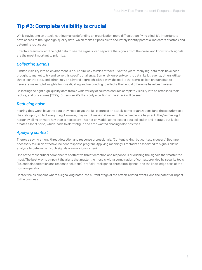## Tip #3: Complete visibility is crucial

While navigating an attack, nothing makes defending an organization more difficult than flying blind. It's important to have access to the right high-quality data, which makes it possible to accurately identify potential indicators of attack and determine root cause.

Effective teams collect the right data to see the signals, can separate the signals from the noise, and know which signals are the most important to prioritize.

#### *Collecting signals*

Limited visibility into an environment is a sure-fire way to miss attacks. Over the years, many big-data tools have been brought to market to try and solve this specific challenge. Some rely on event-centric data like log events, others utilize threat-centric data, and others rely on a hybrid approach. Either way, the goal is the same: collect enough data to generate meaningful insights for investigating and responding to attacks that would otherwise have been missed.

Collecting the right high-quality data from a wide variety of sources ensures complete visibility into an attacker's tools, tactics, and procedures (TTPs). Otherwise, it's likely only a portion of the attack will be seen.

#### *Reducing noise*

Fearing they won't have the data they need to get the full picture of an attack, some organizations (and the security tools they rely upon) collect everything. However, they're not making it easier to find a needle in a haystack; they're making it harder by piling on more hay than is necessary. This not only adds to the cost of data collection and storage, but it also creates a lot of noise, which leads to alert fatigue and time wasted chasing false positives.

#### *Applying context*

There's a saying among threat detection and response professionals: "Content is king, but context is queen." Both are necessary to run an effective incident response program. Applying meaningful metadata associated to signals allows analysts to determine if such signals are malicious or benign.

One of the most critical components of effective threat detection and response is prioritizing the signals that matter the most. The best way to pinpoint the alerts that matter the most is with a combination of context provided by security tools (i.e. endpoint detection and response solutions), artificial intelligence, threat intelligence, and the knowledge base of the human operator.

Context helps pinpoint where a signal originated, the current stage of the attack, related events, and the potential impact to the business.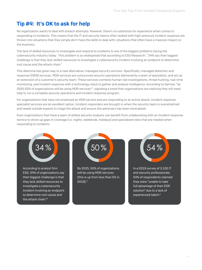## Tip #4: It's OK to ask for help

No organization wants to deal with breach attempts. However, there's no substitute for experience when comes to responding to incidents. This means that the IT and security teams often tasked with high-pressure incident response are thrown into situations that they simply don't have the skills to deal with; situations that often have a massive impact on the business.

The lack of skilled resources to investigate and respond to incidents is one of the biggest problems facing the cybersecurity industry today. This problem is so widespread that according to ESG Research<sup>2</sup>, "34% say their biggest challenge is that they lack skilled resources to investigate a cybersecurity incident involving an endpoint to determine root cause and the attack chain."

This dilemma has given way to a new alternative: managed security services. Specifically, managed detection and response (MDR) services. MDR services are outsourced security operations delivered by a team of specialists, and act as an extension of a customer's security team. These services combine human-led investigations, threat hunting, real-time monitoring, and incident response with a technology stack to gather and analyze intelligence. According to Gartner, "by 2025 50% of organizations will be using MDR services"3, signaling a trend that organizations are realizing they will need help to run a complete security operations and incident response program.

For organizations that have not employed an MDR service and are responding to an active attack, incident response specialist services are an excellent option. Incident responders are brought in when the security team is overwhelmed and needs outside experts to triage the attack and ensure the adversary has been neutralized.

Even organizations that have a team of skilled security analysts can benefit from collaborating with an incident response service to shore up gaps in coverage (i.e. nights, weekends, holidays) and specialized roles that are needed when responding to incidents.